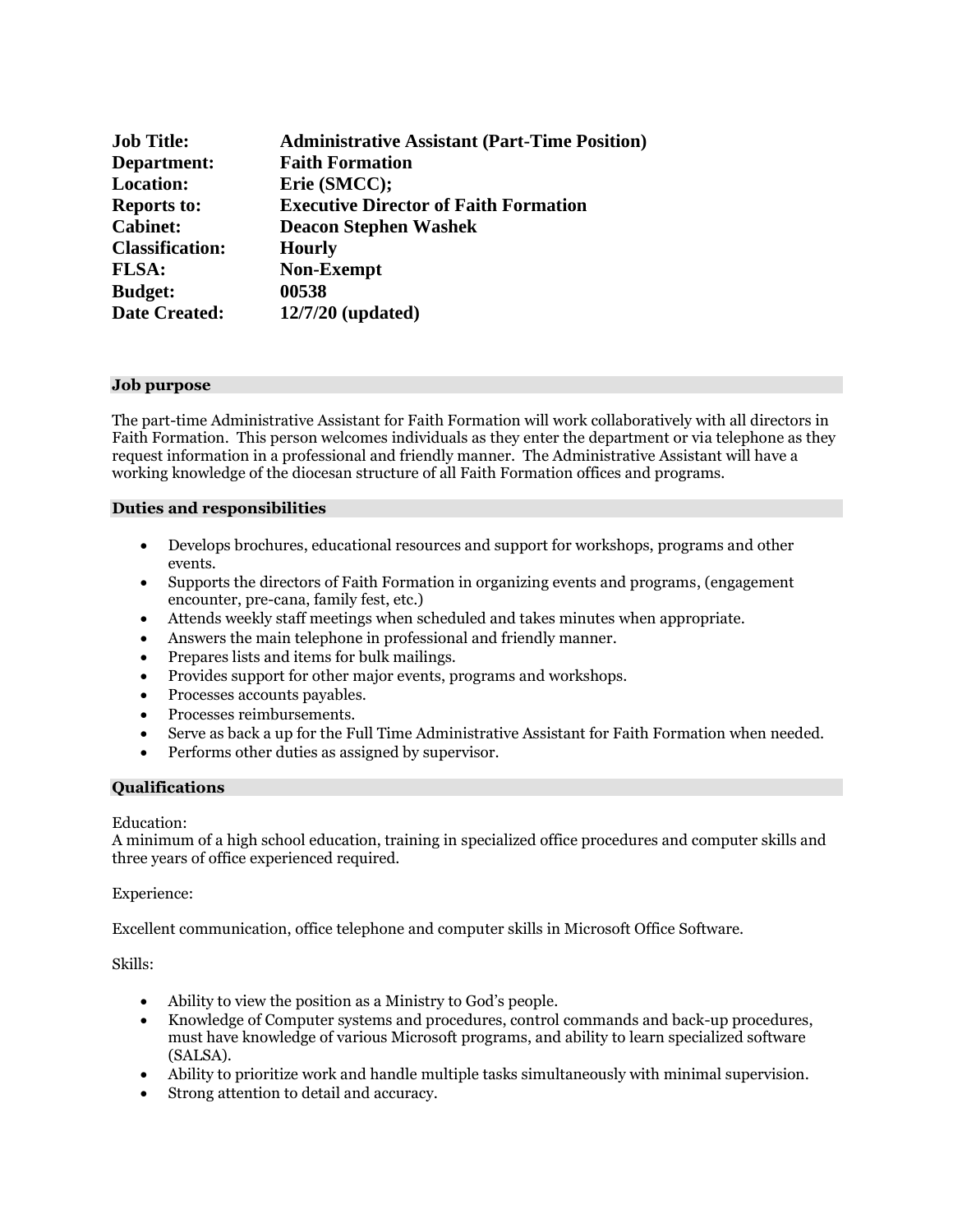| <b>Job Title:</b>      | <b>Administrative Assistant (Part-Time Position)</b> |
|------------------------|------------------------------------------------------|
| Department:            | <b>Faith Formation</b>                               |
| <b>Location:</b>       | Erie (SMCC);                                         |
| <b>Reports to:</b>     | <b>Executive Director of Faith Formation</b>         |
| <b>Cabinet:</b>        | <b>Deacon Stephen Washek</b>                         |
| <b>Classification:</b> | <b>Hourly</b>                                        |
| <b>FLSA:</b>           | <b>Non-Exempt</b>                                    |
| <b>Budget:</b>         | 00538                                                |
| <b>Date Created:</b>   | $12/7/20$ (updated)                                  |

#### **Job purpose**

The part-time Administrative Assistant for Faith Formation will work collaboratively with all directors in Faith Formation. This person welcomes individuals as they enter the department or via telephone as they request information in a professional and friendly manner. The Administrative Assistant will have a working knowledge of the diocesan structure of all Faith Formation offices and programs.

#### **Duties and responsibilities**

- Develops brochures, educational resources and support for workshops, programs and other events.
- Supports the directors of Faith Formation in organizing events and programs, (engagement encounter, pre-cana, family fest, etc.)
- Attends weekly staff meetings when scheduled and takes minutes when appropriate.
- Answers the main telephone in professional and friendly manner.
- Prepares lists and items for bulk mailings.
- Provides support for other major events, programs and workshops.
- Processes accounts payables.
- Processes reimbursements.
- Serve as back a up for the Full Time Administrative Assistant for Faith Formation when needed.
- Performs other duties as assigned by supervisor.

#### **Qualifications**

#### Education:

A minimum of a high school education, training in specialized office procedures and computer skills and three years of office experienced required.

#### Experience:

Excellent communication, office telephone and computer skills in Microsoft Office Software.

Skills:

- Ability to view the position as a Ministry to God's people.
- Knowledge of Computer systems and procedures, control commands and back-up procedures, must have knowledge of various Microsoft programs, and ability to learn specialized software (SALSA).
- Ability to prioritize work and handle multiple tasks simultaneously with minimal supervision.
- Strong attention to detail and accuracy.